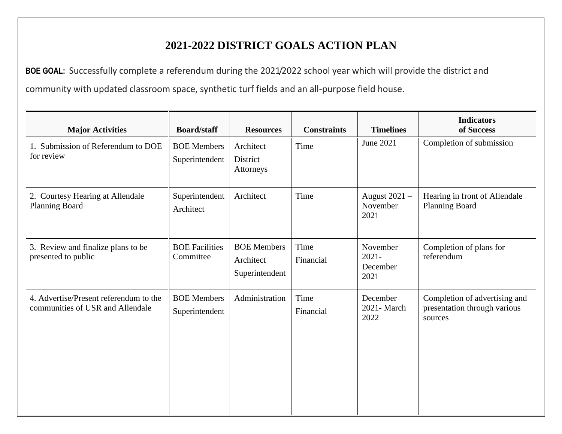## **2021-2022 DISTRICT GOALS ACTION PLAN**

**BOE GOAL:** Successfully complete a referendum during the 2021/2022 school year which will provide the district and community with updated classroom space, synthetic turf fields and an all-purpose field house.

| <b>Major Activities</b>                                                    | <b>Board/staff</b>                   | <b>Resources</b>                                  | <b>Constraints</b> | <b>Timelines</b>                         | <b>Indicators</b><br>of Success                                          |
|----------------------------------------------------------------------------|--------------------------------------|---------------------------------------------------|--------------------|------------------------------------------|--------------------------------------------------------------------------|
| 1. Submission of Referendum to DOE<br>for review                           | <b>BOE</b> Members<br>Superintendent | Architect<br>District<br>Attorneys                | Time               | June 2021                                | Completion of submission                                                 |
| 2. Courtesy Hearing at Allendale<br>Planning Board                         | Superintendent<br>Architect          | Architect                                         | Time               | August 2021 -<br>November<br>2021        | Hearing in front of Allendale<br><b>Planning Board</b>                   |
| 3. Review and finalize plans to be<br>presented to public                  | <b>BOE Facilities</b><br>Committee   | <b>BOE Members</b><br>Architect<br>Superintendent | Time<br>Financial  | November<br>$2021 -$<br>December<br>2021 | Completion of plans for<br>referendum                                    |
| 4. Advertise/Present referendum to the<br>communities of USR and Allendale | <b>BOE</b> Members<br>Superintendent | Administration                                    | Time<br>Financial  | December<br>2021-March<br>2022           | Completion of advertising and<br>presentation through various<br>sources |